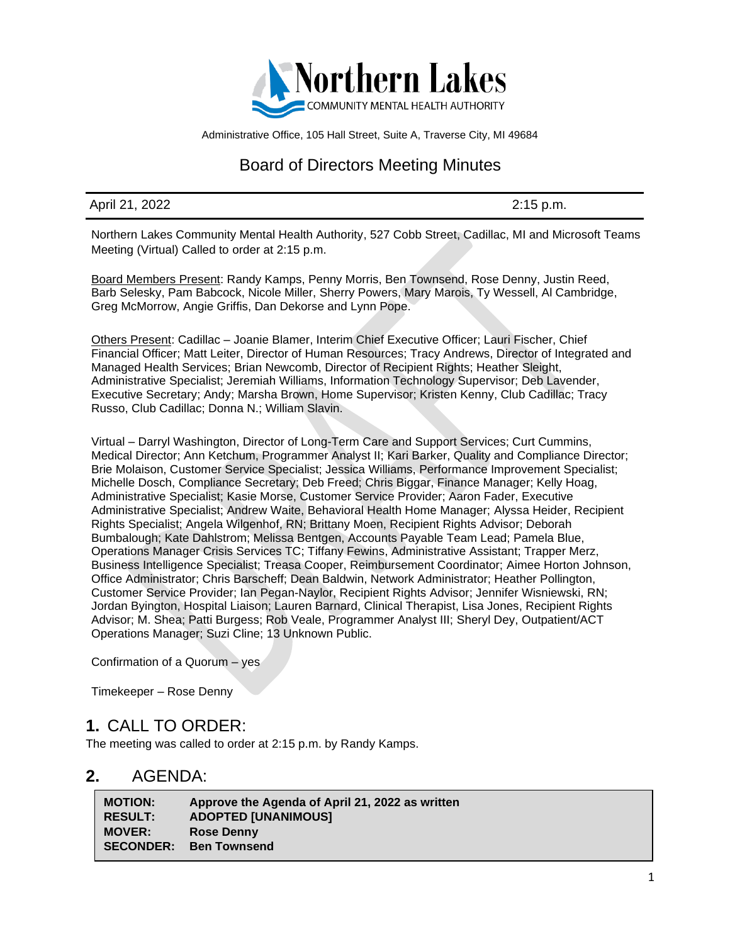

Administrative Office, 105 Hall Street, Suite A, Traverse City, MI 49684

# Board of Directors Meeting Minutes

#### April 21, 2022 2:15 p.m.

Northern Lakes Community Mental Health Authority, 527 Cobb Street, Cadillac, MI and Microsoft Teams Meeting (Virtual) Called to order at 2:15 p.m.

Board Members Present: Randy Kamps, Penny Morris, Ben Townsend, Rose Denny, Justin Reed, Barb Selesky, Pam Babcock, Nicole Miller, Sherry Powers, Mary Marois, Ty Wessell, Al Cambridge, Greg McMorrow, Angie Griffis, Dan Dekorse and Lynn Pope.

Others Present: Cadillac – Joanie Blamer, Interim Chief Executive Officer; Lauri Fischer, Chief Financial Officer; Matt Leiter, Director of Human Resources; Tracy Andrews, Director of Integrated and Managed Health Services; Brian Newcomb, Director of Recipient Rights; Heather Sleight, Administrative Specialist; Jeremiah Williams, Information Technology Supervisor; Deb Lavender, Executive Secretary; Andy; Marsha Brown, Home Supervisor; Kristen Kenny, Club Cadillac; Tracy Russo, Club Cadillac; Donna N.; William Slavin.

Virtual – Darryl Washington, Director of Long-Term Care and Support Services; Curt Cummins, Medical Director; Ann Ketchum, Programmer Analyst II; Kari Barker, Quality and Compliance Director; Brie Molaison, Customer Service Specialist; Jessica Williams, Performance Improvement Specialist; Michelle Dosch, Compliance Secretary; Deb Freed; Chris Biggar, Finance Manager; Kelly Hoag, Administrative Specialist; Kasie Morse, Customer Service Provider; Aaron Fader, Executive Administrative Specialist; Andrew Waite, Behavioral Health Home Manager; Alyssa Heider, Recipient Rights Specialist; Angela Wilgenhof, RN; Brittany Moen, Recipient Rights Advisor; Deborah Bumbalough; Kate Dahlstrom; Melissa Bentgen, Accounts Payable Team Lead; Pamela Blue, Operations Manager Crisis Services TC; Tiffany Fewins, Administrative Assistant; Trapper Merz, Business Intelligence Specialist; Treasa Cooper, Reimbursement Coordinator; Aimee Horton Johnson, Office Administrator; Chris Barscheff; Dean Baldwin, Network Administrator; Heather Pollington, Customer Service Provider; Ian Pegan-Naylor, Recipient Rights Advisor; Jennifer Wisniewski, RN; Jordan Byington, Hospital Liaison; Lauren Barnard, Clinical Therapist, Lisa Jones, Recipient Rights Advisor; M. Shea; Patti Burgess; Rob Veale, Programmer Analyst III; Sheryl Dey, Outpatient/ACT Operations Manager; Suzi Cline; 13 Unknown Public.

Confirmation of a Quorum – yes

Timekeeper – Rose Denny

#### **1.** CALL TO ORDER:

The meeting was called to order at 2:15 p.m. by Randy Kamps.

#### **2.** AGENDA:

| <b>MOTION:</b>   | Approve the Agenda of April 21, 2022 as written |
|------------------|-------------------------------------------------|
| <b>RESULT:</b>   | <b>ADOPTED [UNANIMOUS]</b>                      |
| <b>MOVER:</b>    | <b>Rose Denny</b>                               |
| <b>SECONDER:</b> | <b>Ben Townsend</b>                             |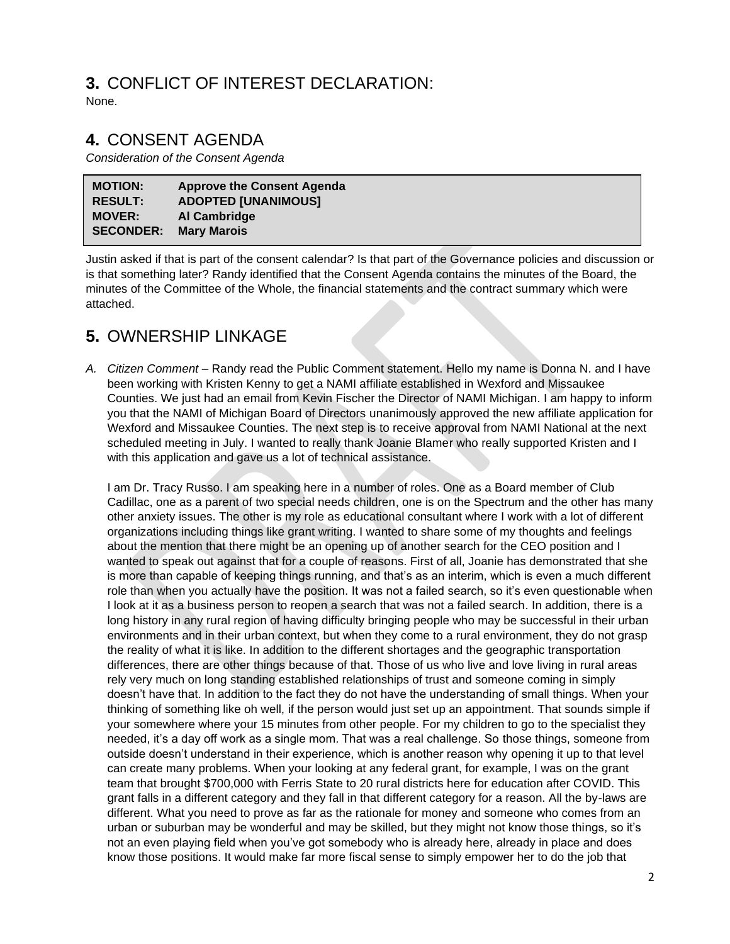#### **3.** CONFLICT OF INTEREST DECLARATION: None.

## **4.** CONSENT AGENDA

*Consideration of the Consent Agenda*

| <b>MOTION:</b>   | <b>Approve the Consent Agenda</b> |
|------------------|-----------------------------------|
| <b>RESULT:</b>   | <b>ADOPTED [UNANIMOUS]</b>        |
| <b>MOVER:</b>    | Al Cambridge                      |
| <b>SECONDER:</b> | <b>Mary Marois</b>                |

Justin asked if that is part of the consent calendar? Is that part of the Governance policies and discussion or is that something later? Randy identified that the Consent Agenda contains the minutes of the Board, the minutes of the Committee of the Whole, the financial statements and the contract summary which were attached.

# **5.** OWNERSHIP LINKAGE

*A. Citizen Comment* – Randy read the Public Comment statement. Hello my name is Donna N. and I have been working with Kristen Kenny to get a NAMI affiliate established in Wexford and Missaukee Counties. We just had an email from Kevin Fischer the Director of NAMI Michigan. I am happy to inform you that the NAMI of Michigan Board of Directors unanimously approved the new affiliate application for Wexford and Missaukee Counties. The next step is to receive approval from NAMI National at the next scheduled meeting in July. I wanted to really thank Joanie Blamer who really supported Kristen and I with this application and gave us a lot of technical assistance.

I am Dr. Tracy Russo. I am speaking here in a number of roles. One as a Board member of Club Cadillac, one as a parent of two special needs children, one is on the Spectrum and the other has many other anxiety issues. The other is my role as educational consultant where I work with a lot of different organizations including things like grant writing. I wanted to share some of my thoughts and feelings about the mention that there might be an opening up of another search for the CEO position and I wanted to speak out against that for a couple of reasons. First of all, Joanie has demonstrated that she is more than capable of keeping things running, and that's as an interim, which is even a much different role than when you actually have the position. It was not a failed search, so it's even questionable when I look at it as a business person to reopen a search that was not a failed search. In addition, there is a long history in any rural region of having difficulty bringing people who may be successful in their urban environments and in their urban context, but when they come to a rural environment, they do not grasp the reality of what it is like. In addition to the different shortages and the geographic transportation differences, there are other things because of that. Those of us who live and love living in rural areas rely very much on long standing established relationships of trust and someone coming in simply doesn't have that. In addition to the fact they do not have the understanding of small things. When your thinking of something like oh well, if the person would just set up an appointment. That sounds simple if your somewhere where your 15 minutes from other people. For my children to go to the specialist they needed, it's a day off work as a single mom. That was a real challenge. So those things, someone from outside doesn't understand in their experience, which is another reason why opening it up to that level can create many problems. When your looking at any federal grant, for example, I was on the grant team that brought \$700,000 with Ferris State to 20 rural districts here for education after COVID. This grant falls in a different category and they fall in that different category for a reason. All the by-laws are different. What you need to prove as far as the rationale for money and someone who comes from an urban or suburban may be wonderful and may be skilled, but they might not know those things, so it's not an even playing field when you've got somebody who is already here, already in place and does know those positions. It would make far more fiscal sense to simply empower her to do the job that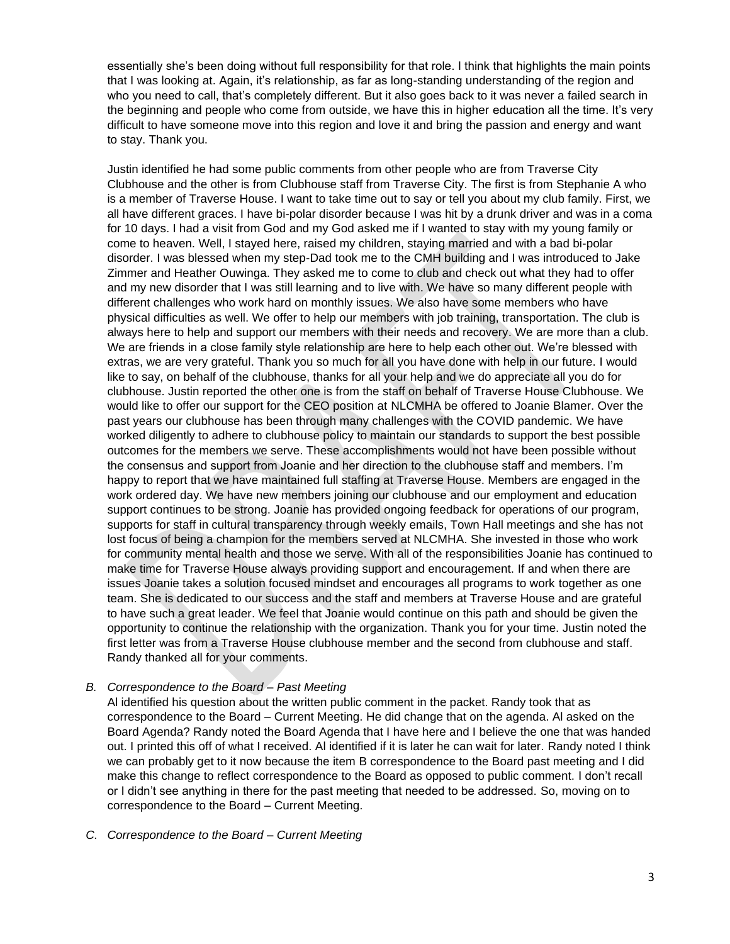essentially she's been doing without full responsibility for that role. I think that highlights the main points that I was looking at. Again, it's relationship, as far as long-standing understanding of the region and who you need to call, that's completely different. But it also goes back to it was never a failed search in the beginning and people who come from outside, we have this in higher education all the time. It's very difficult to have someone move into this region and love it and bring the passion and energy and want to stay. Thank you.

Justin identified he had some public comments from other people who are from Traverse City Clubhouse and the other is from Clubhouse staff from Traverse City. The first is from Stephanie A who is a member of Traverse House. I want to take time out to say or tell you about my club family. First, we all have different graces. I have bi-polar disorder because I was hit by a drunk driver and was in a coma for 10 days. I had a visit from God and my God asked me if I wanted to stay with my young family or come to heaven. Well, I stayed here, raised my children, staying married and with a bad bi-polar disorder. I was blessed when my step-Dad took me to the CMH building and I was introduced to Jake Zimmer and Heather Ouwinga. They asked me to come to club and check out what they had to offer and my new disorder that I was still learning and to live with. We have so many different people with different challenges who work hard on monthly issues. We also have some members who have physical difficulties as well. We offer to help our members with job training, transportation. The club is always here to help and support our members with their needs and recovery. We are more than a club. We are friends in a close family style relationship are here to help each other out. We're blessed with extras, we are very grateful. Thank you so much for all you have done with help in our future. I would like to say, on behalf of the clubhouse, thanks for all your help and we do appreciate all you do for clubhouse. Justin reported the other one is from the staff on behalf of Traverse House Clubhouse. We would like to offer our support for the CEO position at NLCMHA be offered to Joanie Blamer. Over the past years our clubhouse has been through many challenges with the COVID pandemic. We have worked diligently to adhere to clubhouse policy to maintain our standards to support the best possible outcomes for the members we serve. These accomplishments would not have been possible without the consensus and support from Joanie and her direction to the clubhouse staff and members. I'm happy to report that we have maintained full staffing at Traverse House. Members are engaged in the work ordered day. We have new members joining our clubhouse and our employment and education support continues to be strong. Joanie has provided ongoing feedback for operations of our program, supports for staff in cultural transparency through weekly emails, Town Hall meetings and she has not lost focus of being a champion for the members served at NLCMHA. She invested in those who work for community mental health and those we serve. With all of the responsibilities Joanie has continued to make time for Traverse House always providing support and encouragement. If and when there are issues Joanie takes a solution focused mindset and encourages all programs to work together as one team. She is dedicated to our success and the staff and members at Traverse House and are grateful to have such a great leader. We feel that Joanie would continue on this path and should be given the opportunity to continue the relationship with the organization. Thank you for your time. Justin noted the first letter was from a Traverse House clubhouse member and the second from clubhouse and staff. Randy thanked all for your comments.

#### *B. Correspondence to the Board – Past Meeting*

Al identified his question about the written public comment in the packet. Randy took that as correspondence to the Board – Current Meeting. He did change that on the agenda. Al asked on the Board Agenda? Randy noted the Board Agenda that I have here and I believe the one that was handed out. I printed this off of what I received. Al identified if it is later he can wait for later. Randy noted I think we can probably get to it now because the item B correspondence to the Board past meeting and I did make this change to reflect correspondence to the Board as opposed to public comment. I don't recall or I didn't see anything in there for the past meeting that needed to be addressed. So, moving on to correspondence to the Board – Current Meeting.

#### *C. Correspondence to the Board – Current Meeting*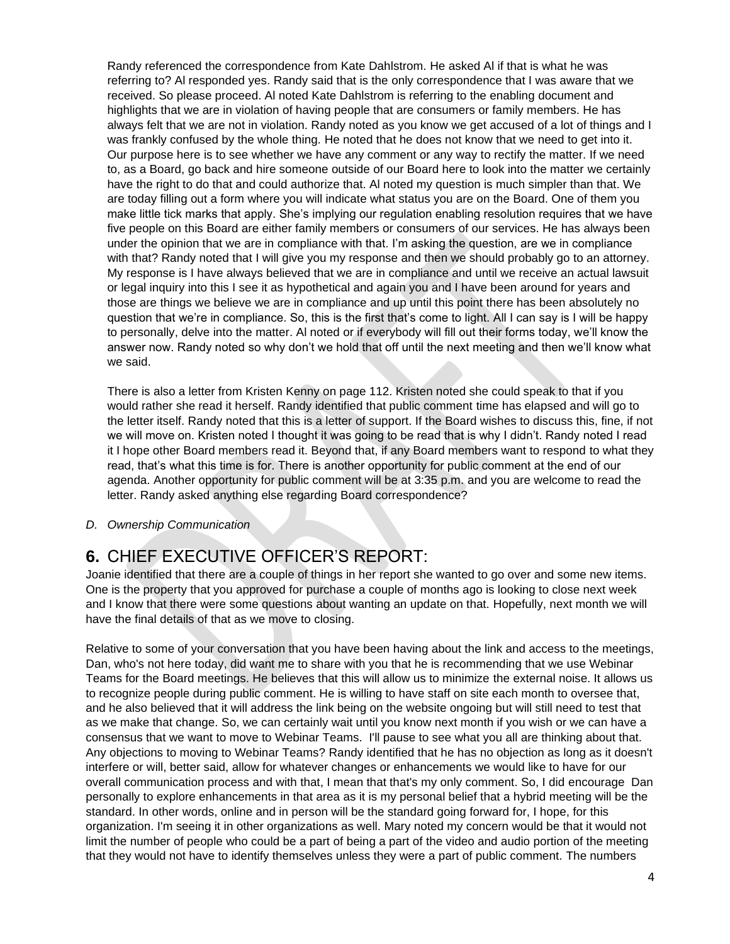Randy referenced the correspondence from Kate Dahlstrom. He asked Al if that is what he was referring to? Al responded yes. Randy said that is the only correspondence that I was aware that we received. So please proceed. Al noted Kate Dahlstrom is referring to the enabling document and highlights that we are in violation of having people that are consumers or family members. He has always felt that we are not in violation. Randy noted as you know we get accused of a lot of things and I was frankly confused by the whole thing. He noted that he does not know that we need to get into it. Our purpose here is to see whether we have any comment or any way to rectify the matter. If we need to, as a Board, go back and hire someone outside of our Board here to look into the matter we certainly have the right to do that and could authorize that. Al noted my question is much simpler than that. We are today filling out a form where you will indicate what status you are on the Board. One of them you make little tick marks that apply. She's implying our regulation enabling resolution requires that we have five people on this Board are either family members or consumers of our services. He has always been under the opinion that we are in compliance with that. I'm asking the question, are we in compliance with that? Randy noted that I will give you my response and then we should probably go to an attorney. My response is I have always believed that we are in compliance and until we receive an actual lawsuit or legal inquiry into this I see it as hypothetical and again you and I have been around for years and those are things we believe we are in compliance and up until this point there has been absolutely no question that we're in compliance. So, this is the first that's come to light. All I can say is I will be happy to personally, delve into the matter. Al noted or if everybody will fill out their forms today, we'll know the answer now. Randy noted so why don't we hold that off until the next meeting and then we'll know what we said.

There is also a letter from Kristen Kenny on page 112. Kristen noted she could speak to that if you would rather she read it herself. Randy identified that public comment time has elapsed and will go to the letter itself. Randy noted that this is a letter of support. If the Board wishes to discuss this, fine, if not we will move on. Kristen noted I thought it was going to be read that is why I didn't. Randy noted I read it I hope other Board members read it. Beyond that, if any Board members want to respond to what they read, that's what this time is for. There is another opportunity for public comment at the end of our agenda. Another opportunity for public comment will be at 3:35 p.m. and you are welcome to read the letter. Randy asked anything else regarding Board correspondence?

*D. Ownership Communication*

# **6.** CHIEF EXECUTIVE OFFICER'S REPORT:

Joanie identified that there are a couple of things in her report she wanted to go over and some new items. One is the property that you approved for purchase a couple of months ago is looking to close next week and I know that there were some questions about wanting an update on that. Hopefully, next month we will have the final details of that as we move to closing.

Relative to some of your conversation that you have been having about the link and access to the meetings, Dan, who's not here today, did want me to share with you that he is recommending that we use Webinar Teams for the Board meetings. He believes that this will allow us to minimize the external noise. It allows us to recognize people during public comment. He is willing to have staff on site each month to oversee that, and he also believed that it will address the link being on the website ongoing but will still need to test that as we make that change. So, we can certainly wait until you know next month if you wish or we can have a consensus that we want to move to Webinar Teams. I'll pause to see what you all are thinking about that. Any objections to moving to Webinar Teams? Randy identified that he has no objection as long as it doesn't interfere or will, better said, allow for whatever changes or enhancements we would like to have for our overall communication process and with that, I mean that that's my only comment. So, I did encourage Dan personally to explore enhancements in that area as it is my personal belief that a hybrid meeting will be the standard. In other words, online and in person will be the standard going forward for, I hope, for this organization. I'm seeing it in other organizations as well. Mary noted my concern would be that it would not limit the number of people who could be a part of being a part of the video and audio portion of the meeting that they would not have to identify themselves unless they were a part of public comment. The numbers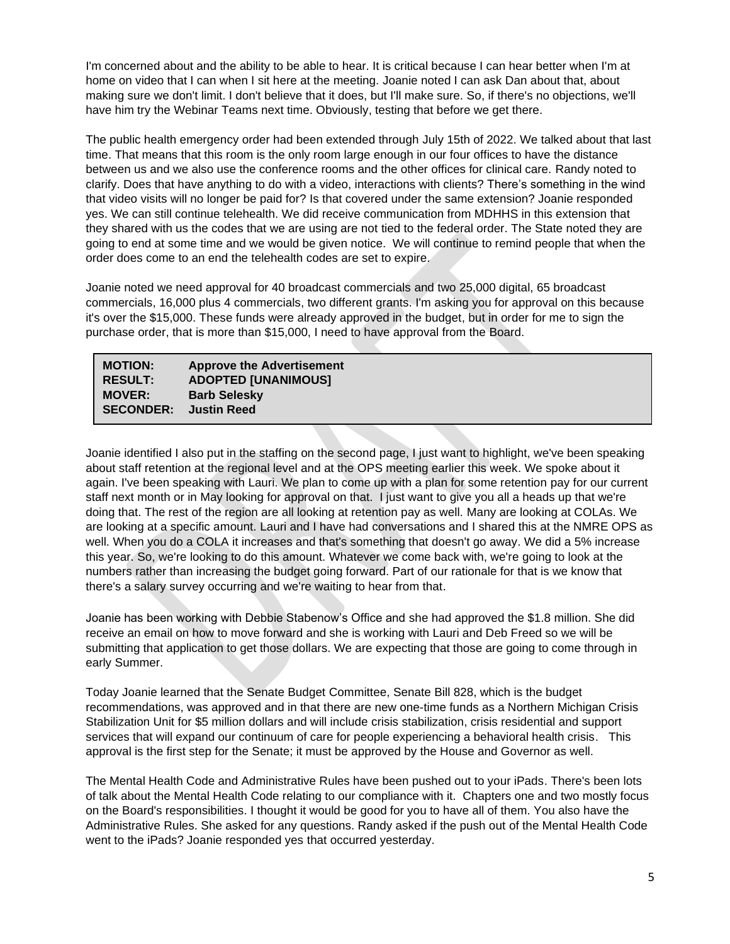I'm concerned about and the ability to be able to hear. It is critical because I can hear better when I'm at home on video that I can when I sit here at the meeting. Joanie noted I can ask Dan about that, about making sure we don't limit. I don't believe that it does, but I'll make sure. So, if there's no objections, we'll have him try the Webinar Teams next time. Obviously, testing that before we get there.

The public health emergency order had been extended through July 15th of 2022. We talked about that last time. That means that this room is the only room large enough in our four offices to have the distance between us and we also use the conference rooms and the other offices for clinical care. Randy noted to clarify. Does that have anything to do with a video, interactions with clients? There's something in the wind that video visits will no longer be paid for? Is that covered under the same extension? Joanie responded yes. We can still continue telehealth. We did receive communication from MDHHS in this extension that they shared with us the codes that we are using are not tied to the federal order. The State noted they are going to end at some time and we would be given notice. We will continue to remind people that when the order does come to an end the telehealth codes are set to expire.

Joanie noted we need approval for 40 broadcast commercials and two 25,000 digital, 65 broadcast commercials, 16,000 plus 4 commercials, two different grants. I'm asking you for approval on this because it's over the \$15,000. These funds were already approved in the budget, but in order for me to sign the purchase order, that is more than \$15,000, I need to have approval from the Board.

#### **MOTION: Approve the Advertisement RESULT: ADOPTED [UNANIMOUS] MOVER: Barb Selesky SECONDER: Justin Reed**

Joanie identified I also put in the staffing on the second page, I just want to highlight, we've been speaking about staff retention at the regional level and at the OPS meeting earlier this week. We spoke about it again. I've been speaking with Lauri. We plan to come up with a plan for some retention pay for our current staff next month or in May looking for approval on that. I just want to give you all a heads up that we're doing that. The rest of the region are all looking at retention pay as well. Many are looking at COLAs. We are looking at a specific amount. Lauri and I have had conversations and I shared this at the NMRE OPS as well. When you do a COLA it increases and that's something that doesn't go away. We did a 5% increase this year. So, we're looking to do this amount. Whatever we come back with, we're going to look at the numbers rather than increasing the budget going forward. Part of our rationale for that is we know that there's a salary survey occurring and we're waiting to hear from that.

Joanie has been working with Debbie Stabenow's Office and she had approved the \$1.8 million. She did receive an email on how to move forward and she is working with Lauri and Deb Freed so we will be submitting that application to get those dollars. We are expecting that those are going to come through in early Summer.

Today Joanie learned that the Senate Budget Committee, Senate Bill 828, which is the budget recommendations, was approved and in that there are new one-time funds as a Northern Michigan Crisis Stabilization Unit for \$5 million dollars and will include crisis stabilization, crisis residential and support services that will expand our continuum of care for people experiencing a behavioral health crisis. This approval is the first step for the Senate; it must be approved by the House and Governor as well.

The Mental Health Code and Administrative Rules have been pushed out to your iPads. There's been lots of talk about the Mental Health Code relating to our compliance with it. Chapters one and two mostly focus on the Board's responsibilities. I thought it would be good for you to have all of them. You also have the Administrative Rules. She asked for any questions. Randy asked if the push out of the Mental Health Code went to the iPads? Joanie responded yes that occurred yesterday.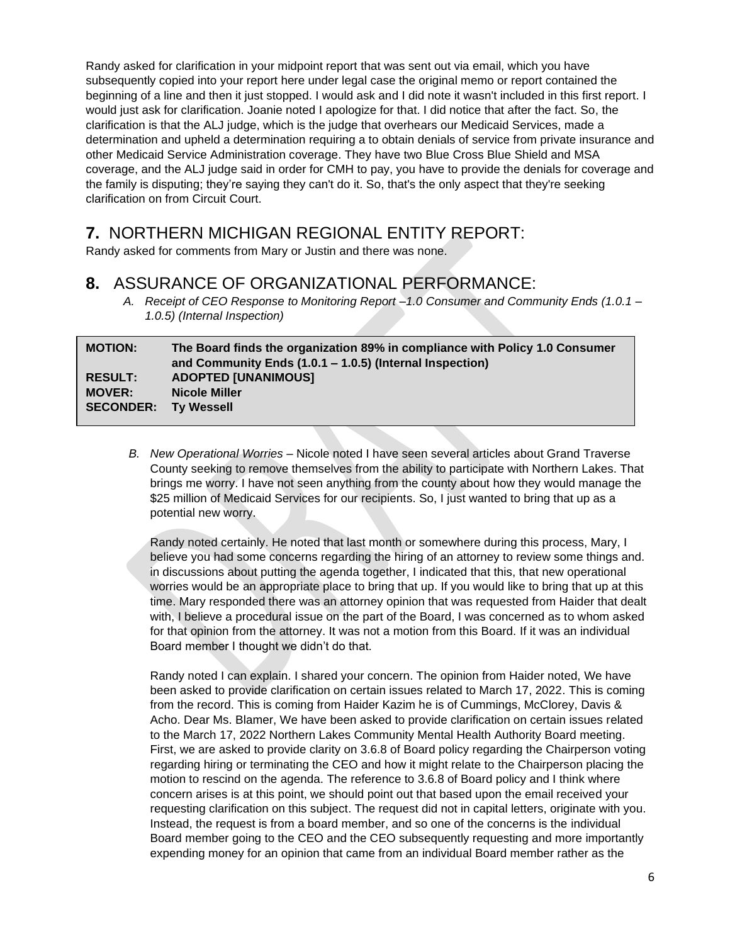Randy asked for clarification in your midpoint report that was sent out via email, which you have subsequently copied into your report here under legal case the original memo or report contained the beginning of a line and then it just stopped. I would ask and I did note it wasn't included in this first report. I would just ask for clarification. Joanie noted I apologize for that. I did notice that after the fact. So, the clarification is that the ALJ judge, which is the judge that overhears our Medicaid Services, made a determination and upheld a determination requiring a to obtain denials of service from private insurance and other Medicaid Service Administration coverage. They have two Blue Cross Blue Shield and MSA coverage, and the ALJ judge said in order for CMH to pay, you have to provide the denials for coverage and the family is disputing; they're saying they can't do it. So, that's the only aspect that they're seeking clarification on from Circuit Court.

### **7.** NORTHERN MICHIGAN REGIONAL ENTITY REPORT:

Randy asked for comments from Mary or Justin and there was none.

### **8.** ASSURANCE OF ORGANIZATIONAL PERFORMANCE:

*A. Receipt of CEO Response to Monitoring Report –1.0 Consumer and Community Ends (1.0.1 – 1.0.5) (Internal Inspection)*

| <b>MOTION:</b>              | The Board finds the organization 89% in compliance with Policy 1.0 Consumer<br>and Community Ends $(1.0.1 - 1.0.5)$ (Internal Inspection) |
|-----------------------------|-------------------------------------------------------------------------------------------------------------------------------------------|
| <b>RESULT:</b>              | <b>ADOPTED [UNANIMOUS]</b>                                                                                                                |
| <b>MOVER:</b>               | <b>Nicole Miller</b>                                                                                                                      |
| <b>SECONDER:</b> Ty Wessell |                                                                                                                                           |

*B. New Operational Worries –* Nicole noted I have seen several articles about Grand Traverse County seeking to remove themselves from the ability to participate with Northern Lakes. That brings me worry. I have not seen anything from the county about how they would manage the \$25 million of Medicaid Services for our recipients. So, I just wanted to bring that up as a potential new worry.

Randy noted certainly. He noted that last month or somewhere during this process, Mary, I believe you had some concerns regarding the hiring of an attorney to review some things and. in discussions about putting the agenda together, I indicated that this, that new operational worries would be an appropriate place to bring that up. If you would like to bring that up at this time. Mary responded there was an attorney opinion that was requested from Haider that dealt with, I believe a procedural issue on the part of the Board, I was concerned as to whom asked for that opinion from the attorney. It was not a motion from this Board. If it was an individual Board member I thought we didn't do that.

Randy noted I can explain. I shared your concern. The opinion from Haider noted, We have been asked to provide clarification on certain issues related to March 17, 2022. This is coming from the record. This is coming from Haider Kazim he is of Cummings, McClorey, Davis & Acho. Dear Ms. Blamer, We have been asked to provide clarification on certain issues related to the March 17, 2022 Northern Lakes Community Mental Health Authority Board meeting. First, we are asked to provide clarity on 3.6.8 of Board policy regarding the Chairperson voting regarding hiring or terminating the CEO and how it might relate to the Chairperson placing the motion to rescind on the agenda. The reference to 3.6.8 of Board policy and I think where concern arises is at this point, we should point out that based upon the email received your requesting clarification on this subject. The request did not in capital letters, originate with you. Instead, the request is from a board member, and so one of the concerns is the individual Board member going to the CEO and the CEO subsequently requesting and more importantly expending money for an opinion that came from an individual Board member rather as the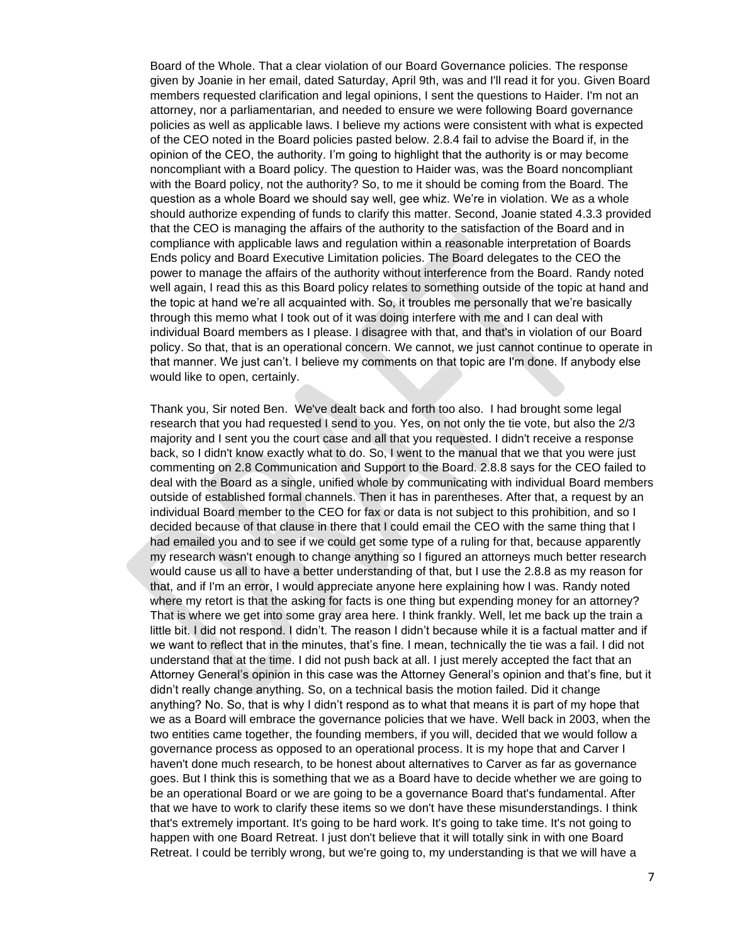Board of the Whole. That a clear violation of our Board Governance policies. The response given by Joanie in her email, dated Saturday, April 9th, was and I'll read it for you. Given Board members requested clarification and legal opinions, I sent the questions to Haider. I'm not an attorney, nor a parliamentarian, and needed to ensure we were following Board governance policies as well as applicable laws. I believe my actions were consistent with what is expected of the CEO noted in the Board policies pasted below. 2.8.4 fail to advise the Board if, in the opinion of the CEO, the authority. I'm going to highlight that the authority is or may become noncompliant with a Board policy. The question to Haider was, was the Board noncompliant with the Board policy, not the authority? So, to me it should be coming from the Board. The question as a whole Board we should say well, gee whiz. We're in violation. We as a whole should authorize expending of funds to clarify this matter. Second, Joanie stated 4.3.3 provided that the CEO is managing the affairs of the authority to the satisfaction of the Board and in compliance with applicable laws and regulation within a reasonable interpretation of Boards Ends policy and Board Executive Limitation policies. The Board delegates to the CEO the power to manage the affairs of the authority without interference from the Board. Randy noted well again, I read this as this Board policy relates to something outside of the topic at hand and the topic at hand we're all acquainted with. So, it troubles me personally that we're basically through this memo what I took out of it was doing interfere with me and I can deal with individual Board members as I please. I disagree with that, and that's in violation of our Board policy. So that, that is an operational concern. We cannot, we just cannot continue to operate in that manner. We just can't. I believe my comments on that topic are I'm done. If anybody else would like to open, certainly.

Thank you, Sir noted Ben. We've dealt back and forth too also. I had brought some legal research that you had requested I send to you. Yes, on not only the tie vote, but also the 2/3 majority and I sent you the court case and all that you requested. I didn't receive a response back, so I didn't know exactly what to do. So, I went to the manual that we that you were just commenting on 2.8 Communication and Support to the Board. 2.8.8 says for the CEO failed to deal with the Board as a single, unified whole by communicating with individual Board members outside of established formal channels. Then it has in parentheses. After that, a request by an individual Board member to the CEO for fax or data is not subject to this prohibition, and so I decided because of that clause in there that I could email the CEO with the same thing that I had emailed you and to see if we could get some type of a ruling for that, because apparently my research wasn't enough to change anything so I figured an attorneys much better research would cause us all to have a better understanding of that, but I use the 2.8.8 as my reason for that, and if I'm an error, I would appreciate anyone here explaining how I was. Randy noted where my retort is that the asking for facts is one thing but expending money for an attorney? That is where we get into some gray area here. I think frankly. Well, let me back up the train a little bit. I did not respond. I didn't. The reason I didn't because while it is a factual matter and if we want to reflect that in the minutes, that's fine. I mean, technically the tie was a fail. I did not understand that at the time. I did not push back at all. I just merely accepted the fact that an Attorney General's opinion in this case was the Attorney General's opinion and that's fine, but it didn't really change anything. So, on a technical basis the motion failed. Did it change anything? No. So, that is why I didn't respond as to what that means it is part of my hope that we as a Board will embrace the governance policies that we have. Well back in 2003, when the two entities came together, the founding members, if you will, decided that we would follow a governance process as opposed to an operational process. It is my hope that and Carver I haven't done much research, to be honest about alternatives to Carver as far as governance goes. But I think this is something that we as a Board have to decide whether we are going to be an operational Board or we are going to be a governance Board that's fundamental. After that we have to work to clarify these items so we don't have these misunderstandings. I think that's extremely important. It's going to be hard work. It's going to take time. It's not going to happen with one Board Retreat. I just don't believe that it will totally sink in with one Board Retreat. I could be terribly wrong, but we're going to, my understanding is that we will have a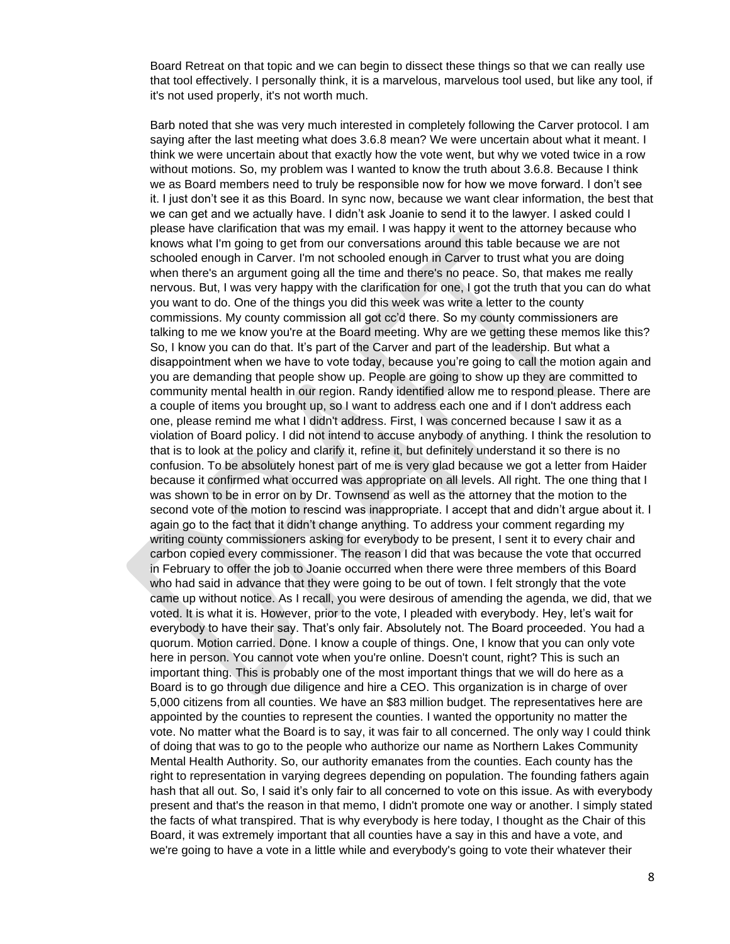Board Retreat on that topic and we can begin to dissect these things so that we can really use that tool effectively. I personally think, it is a marvelous, marvelous tool used, but like any tool, if it's not used properly, it's not worth much.

Barb noted that she was very much interested in completely following the Carver protocol. I am saying after the last meeting what does 3.6.8 mean? We were uncertain about what it meant. I think we were uncertain about that exactly how the vote went, but why we voted twice in a row without motions. So, my problem was I wanted to know the truth about 3.6.8. Because I think we as Board members need to truly be responsible now for how we move forward. I don't see it. I just don't see it as this Board. In sync now, because we want clear information, the best that we can get and we actually have. I didn't ask Joanie to send it to the lawyer. I asked could I please have clarification that was my email. I was happy it went to the attorney because who knows what I'm going to get from our conversations around this table because we are not schooled enough in Carver. I'm not schooled enough in Carver to trust what you are doing when there's an argument going all the time and there's no peace. So, that makes me really nervous. But, I was very happy with the clarification for one, I got the truth that you can do what you want to do. One of the things you did this week was write a letter to the county commissions. My county commission all got cc'd there. So my county commissioners are talking to me we know you're at the Board meeting. Why are we getting these memos like this? So, I know you can do that. It's part of the Carver and part of the leadership. But what a disappointment when we have to vote today, because you're going to call the motion again and you are demanding that people show up. People are going to show up they are committed to community mental health in our region. Randy identified allow me to respond please. There are a couple of items you brought up, so I want to address each one and if I don't address each one, please remind me what I didn't address. First, I was concerned because I saw it as a violation of Board policy. I did not intend to accuse anybody of anything. I think the resolution to that is to look at the policy and clarify it, refine it, but definitely understand it so there is no confusion. To be absolutely honest part of me is very glad because we got a letter from Haider because it confirmed what occurred was appropriate on all levels. All right. The one thing that I was shown to be in error on by Dr. Townsend as well as the attorney that the motion to the second vote of the motion to rescind was inappropriate. I accept that and didn't argue about it. I again go to the fact that it didn't change anything. To address your comment regarding my writing county commissioners asking for everybody to be present, I sent it to every chair and carbon copied every commissioner. The reason I did that was because the vote that occurred in February to offer the job to Joanie occurred when there were three members of this Board who had said in advance that they were going to be out of town. I felt strongly that the vote came up without notice. As I recall, you were desirous of amending the agenda, we did, that we voted. It is what it is. However, prior to the vote, I pleaded with everybody. Hey, let's wait for everybody to have their say. That's only fair. Absolutely not. The Board proceeded. You had a quorum. Motion carried. Done. I know a couple of things. One, I know that you can only vote here in person. You cannot vote when you're online. Doesn't count, right? This is such an important thing. This is probably one of the most important things that we will do here as a Board is to go through due diligence and hire a CEO. This organization is in charge of over 5,000 citizens from all counties. We have an \$83 million budget. The representatives here are appointed by the counties to represent the counties. I wanted the opportunity no matter the vote. No matter what the Board is to say, it was fair to all concerned. The only way I could think of doing that was to go to the people who authorize our name as Northern Lakes Community Mental Health Authority. So, our authority emanates from the counties. Each county has the right to representation in varying degrees depending on population. The founding fathers again hash that all out. So, I said it's only fair to all concerned to vote on this issue. As with everybody present and that's the reason in that memo, I didn't promote one way or another. I simply stated the facts of what transpired. That is why everybody is here today, I thought as the Chair of this Board, it was extremely important that all counties have a say in this and have a vote, and we're going to have a vote in a little while and everybody's going to vote their whatever their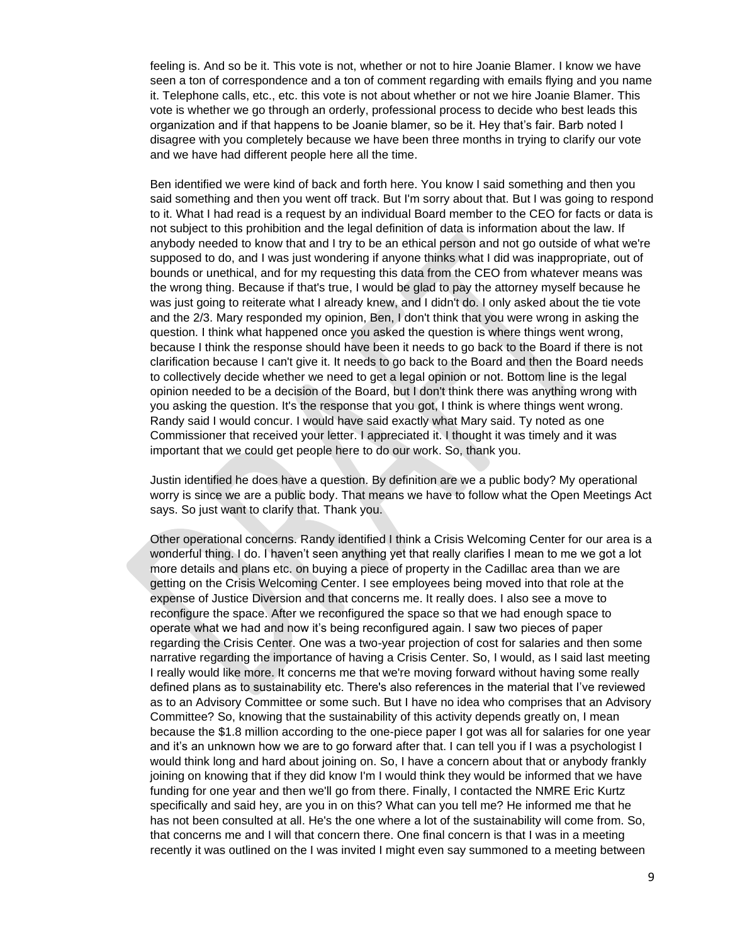feeling is. And so be it. This vote is not, whether or not to hire Joanie Blamer. I know we have seen a ton of correspondence and a ton of comment regarding with emails flying and you name it. Telephone calls, etc., etc. this vote is not about whether or not we hire Joanie Blamer. This vote is whether we go through an orderly, professional process to decide who best leads this organization and if that happens to be Joanie blamer, so be it. Hey that's fair. Barb noted I disagree with you completely because we have been three months in trying to clarify our vote and we have had different people here all the time.

Ben identified we were kind of back and forth here. You know I said something and then you said something and then you went off track. But I'm sorry about that. But I was going to respond to it. What I had read is a request by an individual Board member to the CEO for facts or data is not subject to this prohibition and the legal definition of data is information about the law. If anybody needed to know that and I try to be an ethical person and not go outside of what we're supposed to do, and I was just wondering if anyone thinks what I did was inappropriate, out of bounds or unethical, and for my requesting this data from the CEO from whatever means was the wrong thing. Because if that's true, I would be glad to pay the attorney myself because he was just going to reiterate what I already knew, and I didn't do. I only asked about the tie vote and the 2/3. Mary responded my opinion, Ben, I don't think that you were wrong in asking the question. I think what happened once you asked the question is where things went wrong, because I think the response should have been it needs to go back to the Board if there is not clarification because I can't give it. It needs to go back to the Board and then the Board needs to collectively decide whether we need to get a legal opinion or not. Bottom line is the legal opinion needed to be a decision of the Board, but I don't think there was anything wrong with you asking the question. It's the response that you got, I think is where things went wrong. Randy said I would concur. I would have said exactly what Mary said. Ty noted as one Commissioner that received your letter. I appreciated it. I thought it was timely and it was important that we could get people here to do our work. So, thank you.

Justin identified he does have a question. By definition are we a public body? My operational worry is since we are a public body. That means we have to follow what the Open Meetings Act says. So just want to clarify that. Thank you.

Other operational concerns. Randy identified I think a Crisis Welcoming Center for our area is a wonderful thing. I do. I haven't seen anything yet that really clarifies I mean to me we got a lot more details and plans etc. on buying a piece of property in the Cadillac area than we are getting on the Crisis Welcoming Center. I see employees being moved into that role at the expense of Justice Diversion and that concerns me. It really does. I also see a move to reconfigure the space. After we reconfigured the space so that we had enough space to operate what we had and now it's being reconfigured again. I saw two pieces of paper regarding the Crisis Center. One was a two-year projection of cost for salaries and then some narrative regarding the importance of having a Crisis Center. So, I would, as I said last meeting I really would like more. It concerns me that we're moving forward without having some really defined plans as to sustainability etc. There's also references in the material that I've reviewed as to an Advisory Committee or some such. But I have no idea who comprises that an Advisory Committee? So, knowing that the sustainability of this activity depends greatly on, I mean because the \$1.8 million according to the one-piece paper I got was all for salaries for one year and it's an unknown how we are to go forward after that. I can tell you if I was a psychologist I would think long and hard about joining on. So, I have a concern about that or anybody frankly joining on knowing that if they did know I'm I would think they would be informed that we have funding for one year and then we'll go from there. Finally, I contacted the NMRE Eric Kurtz specifically and said hey, are you in on this? What can you tell me? He informed me that he has not been consulted at all. He's the one where a lot of the sustainability will come from. So, that concerns me and I will that concern there. One final concern is that I was in a meeting recently it was outlined on the I was invited I might even say summoned to a meeting between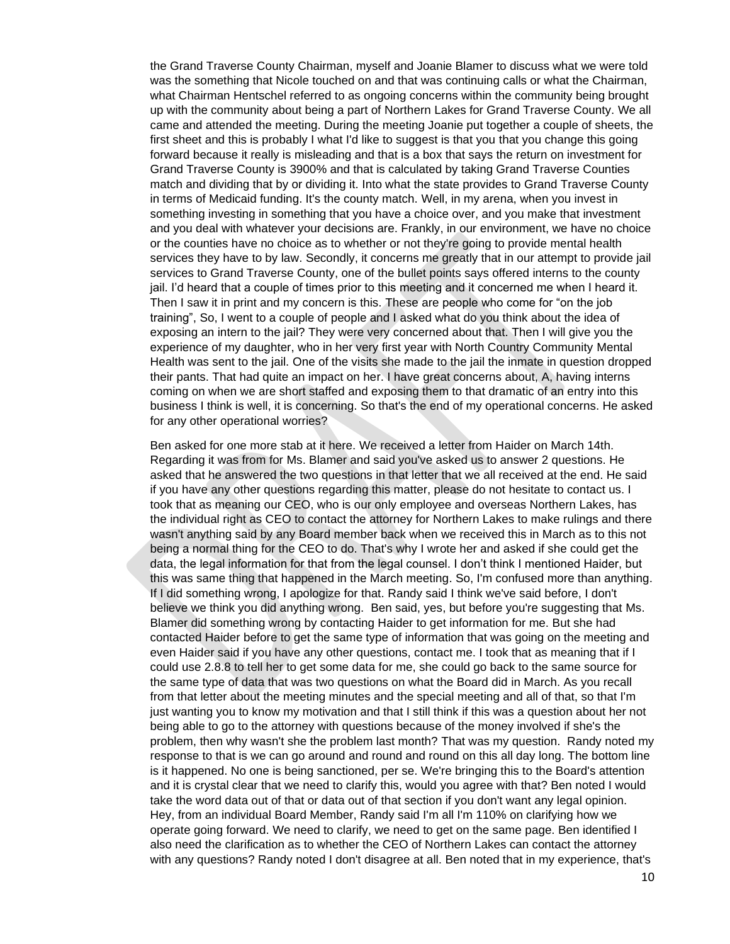the Grand Traverse County Chairman, myself and Joanie Blamer to discuss what we were told was the something that Nicole touched on and that was continuing calls or what the Chairman, what Chairman Hentschel referred to as ongoing concerns within the community being brought up with the community about being a part of Northern Lakes for Grand Traverse County. We all came and attended the meeting. During the meeting Joanie put together a couple of sheets, the first sheet and this is probably I what I'd like to suggest is that you that you change this going forward because it really is misleading and that is a box that says the return on investment for Grand Traverse County is 3900% and that is calculated by taking Grand Traverse Counties match and dividing that by or dividing it. Into what the state provides to Grand Traverse County in terms of Medicaid funding. It's the county match. Well, in my arena, when you invest in something investing in something that you have a choice over, and you make that investment and you deal with whatever your decisions are. Frankly, in our environment, we have no choice or the counties have no choice as to whether or not they're going to provide mental health services they have to by law. Secondly, it concerns me greatly that in our attempt to provide jail services to Grand Traverse County, one of the bullet points says offered interns to the county jail. I'd heard that a couple of times prior to this meeting and it concerned me when I heard it. Then I saw it in print and my concern is this. These are people who come for "on the job training", So, I went to a couple of people and I asked what do you think about the idea of exposing an intern to the jail? They were very concerned about that. Then I will give you the experience of my daughter, who in her very first year with North Country Community Mental Health was sent to the jail. One of the visits she made to the jail the inmate in question dropped their pants. That had quite an impact on her. I have great concerns about, A, having interns coming on when we are short staffed and exposing them to that dramatic of an entry into this business I think is well, it is concerning. So that's the end of my operational concerns. He asked for any other operational worries?

Ben asked for one more stab at it here. We received a letter from Haider on March 14th. Regarding it was from for Ms. Blamer and said you've asked us to answer 2 questions. He asked that he answered the two questions in that letter that we all received at the end. He said if you have any other questions regarding this matter, please do not hesitate to contact us. I took that as meaning our CEO, who is our only employee and overseas Northern Lakes, has the individual right as CEO to contact the attorney for Northern Lakes to make rulings and there wasn't anything said by any Board member back when we received this in March as to this not being a normal thing for the CEO to do. That's why I wrote her and asked if she could get the data, the legal information for that from the legal counsel. I don't think I mentioned Haider, but this was same thing that happened in the March meeting. So, I'm confused more than anything. If I did something wrong, I apologize for that. Randy said I think we've said before, I don't believe we think you did anything wrong. Ben said, yes, but before you're suggesting that Ms. Blamer did something wrong by contacting Haider to get information for me. But she had contacted Haider before to get the same type of information that was going on the meeting and even Haider said if you have any other questions, contact me. I took that as meaning that if I could use 2.8.8 to tell her to get some data for me, she could go back to the same source for the same type of data that was two questions on what the Board did in March. As you recall from that letter about the meeting minutes and the special meeting and all of that, so that I'm just wanting you to know my motivation and that I still think if this was a question about her not being able to go to the attorney with questions because of the money involved if she's the problem, then why wasn't she the problem last month? That was my question. Randy noted my response to that is we can go around and round and round on this all day long. The bottom line is it happened. No one is being sanctioned, per se. We're bringing this to the Board's attention and it is crystal clear that we need to clarify this, would you agree with that? Ben noted I would take the word data out of that or data out of that section if you don't want any legal opinion. Hey, from an individual Board Member, Randy said I'm all I'm 110% on clarifying how we operate going forward. We need to clarify, we need to get on the same page. Ben identified I also need the clarification as to whether the CEO of Northern Lakes can contact the attorney with any questions? Randy noted I don't disagree at all. Ben noted that in my experience, that's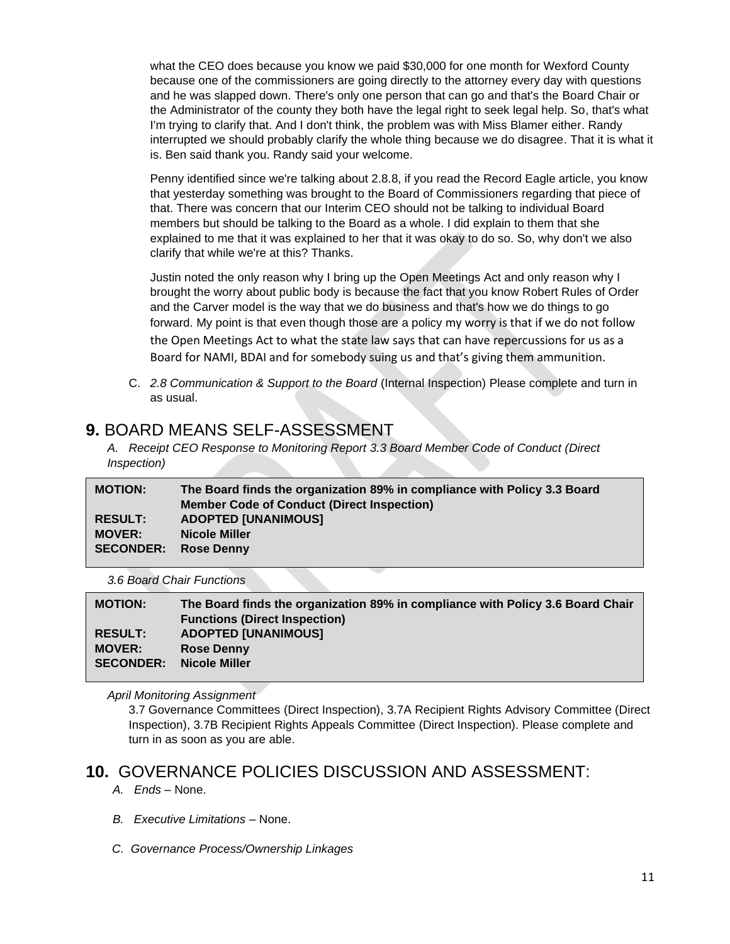what the CEO does because you know we paid \$30,000 for one month for Wexford County because one of the commissioners are going directly to the attorney every day with questions and he was slapped down. There's only one person that can go and that's the Board Chair or the Administrator of the county they both have the legal right to seek legal help. So, that's what I'm trying to clarify that. And I don't think, the problem was with Miss Blamer either. Randy interrupted we should probably clarify the whole thing because we do disagree. That it is what it is. Ben said thank you. Randy said your welcome.

Penny identified since we're talking about 2.8.8, if you read the Record Eagle article, you know that yesterday something was brought to the Board of Commissioners regarding that piece of that. There was concern that our Interim CEO should not be talking to individual Board members but should be talking to the Board as a whole. I did explain to them that she explained to me that it was explained to her that it was okay to do so. So, why don't we also clarify that while we're at this? Thanks.

Justin noted the only reason why I bring up the Open Meetings Act and only reason why I brought the worry about public body is because the fact that you know Robert Rules of Order and the Carver model is the way that we do business and that's how we do things to go forward. My point is that even though those are a policy my worry is that if we do not follow the Open Meetings Act to what the state law says that can have repercussions for us as a Board for NAMI, BDAI and for somebody suing us and that's giving them ammunition.

C. *2.8 Communication & Support to the Board* (Internal Inspection) Please complete and turn in as usual.

### **9.** BOARD MEANS SELF-ASSESSMENT

*A. Receipt CEO Response to Monitoring Report 3.3 Board Member Code of Conduct (Direct Inspection)*

| <b>MOTION:</b>   | The Board finds the organization 89% in compliance with Policy 3.3 Board<br><b>Member Code of Conduct (Direct Inspection)</b> |
|------------------|-------------------------------------------------------------------------------------------------------------------------------|
| <b>RESULT:</b>   | <b>ADOPTED [UNANIMOUS]</b>                                                                                                    |
| <b>MOVER:</b>    | <b>Nicole Miller</b>                                                                                                          |
| <b>SECONDER:</b> | <b>Rose Denny</b>                                                                                                             |
|                  |                                                                                                                               |

*3.6 Board Chair Functions*

| <b>MOTION:</b>   | The Board finds the organization 89% in compliance with Policy 3.6 Board Chair<br><b>Functions (Direct Inspection)</b> |
|------------------|------------------------------------------------------------------------------------------------------------------------|
| <b>RESULT:</b>   | <b>ADOPTED [UNANIMOUS]</b>                                                                                             |
| <b>MOVER:</b>    | <b>Rose Denny</b>                                                                                                      |
| <b>SECONDER:</b> | Nicole Miller                                                                                                          |

*April Monitoring Assignment*

3.7 Governance Committees (Direct Inspection), 3.7A Recipient Rights Advisory Committee (Direct Inspection), 3.7B Recipient Rights Appeals Committee (Direct Inspection). Please complete and turn in as soon as you are able.

### **10.** GOVERNANCE POLICIES DISCUSSION AND ASSESSMENT:

- *A. Ends –* None.
- *B. Executive Limitations –* None.
- *C. Governance Process/Ownership Linkages*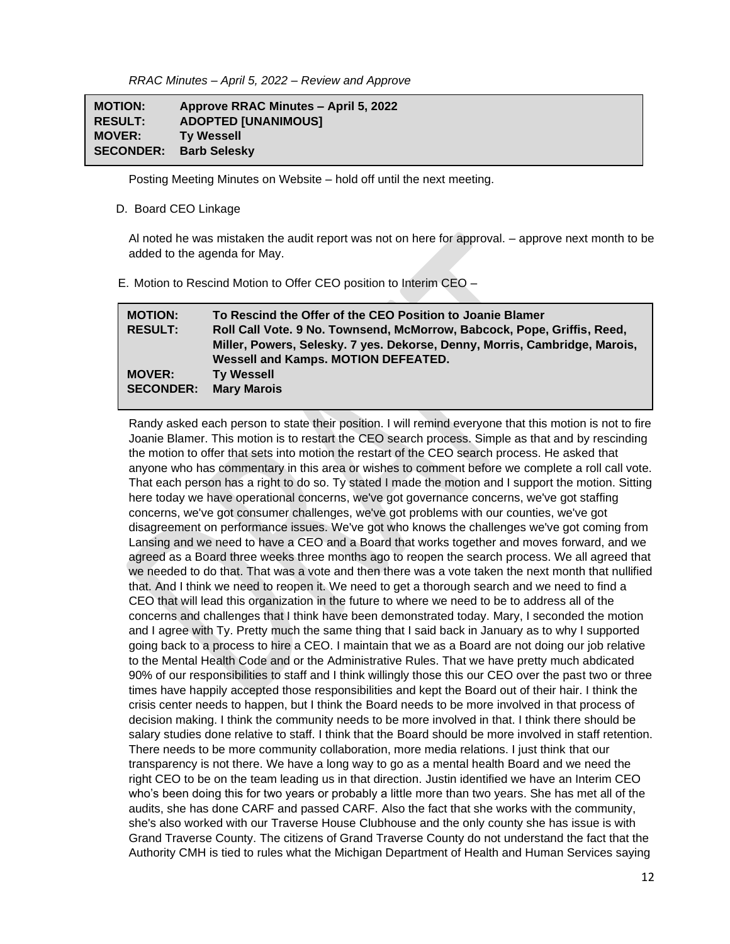*RRAC Minutes – April 5, 2022 – Review and Approve*

| <b>MOTION:</b>   | Approve RRAC Minutes - April 5, 2022 |
|------------------|--------------------------------------|
| <b>RESULT:</b>   | <b>ADOPTED [UNANIMOUS]</b>           |
| <b>MOVER:</b>    | <b>Ty Wessell</b>                    |
| <b>SECONDER:</b> | <b>Barb Selesky</b>                  |

Posting Meeting Minutes on Website – hold off until the next meeting.

#### D. Board CEO Linkage

**s**

Al noted he was mistaken the audit report was not on here for approval. – approve next month to be added to the agenda for May.

E. Motion to Rescind Motion to Offer CEO position to Interim CEO –

| <b>MOTION:</b>   | To Rescind the Offer of the CEO Position to Joanie Blamer                  |
|------------------|----------------------------------------------------------------------------|
| <b>RESULT:</b>   | Roll Call Vote. 9 No. Townsend, McMorrow, Babcock, Pope, Griffis, Reed,    |
|                  | Miller, Powers, Selesky. 7 yes. Dekorse, Denny, Morris, Cambridge, Marois, |
|                  | Wessell and Kamps. MOTION DEFEATED.                                        |
| <b>MOVER:</b>    | <b>Ty Wessell</b>                                                          |
| <b>SECONDER:</b> | <b>Mary Marois</b>                                                         |

Randy asked each person to state their position. I will remind everyone that this motion is not to fire Joanie Blamer. This motion is to restart the CEO search process. Simple as that and by rescinding the motion to offer that sets into motion the restart of the CEO search process. He asked that anyone who has commentary in this area or wishes to comment before we complete a roll call vote. That each person has a right to do so. Ty stated I made the motion and I support the motion. Sitting here today we have operational concerns, we've got governance concerns, we've got staffing concerns, we've got consumer challenges, we've got problems with our counties, we've got disagreement on performance issues. We've got who knows the challenges we've got coming from Lansing and we need to have a CEO and a Board that works together and moves forward, and we agreed as a Board three weeks three months ago to reopen the search process. We all agreed that we needed to do that. That was a vote and then there was a vote taken the next month that nullified that. And I think we need to reopen it. We need to get a thorough search and we need to find a CEO that will lead this organization in the future to where we need to be to address all of the concerns and challenges that I think have been demonstrated today. Mary, I seconded the motion and I agree with Ty. Pretty much the same thing that I said back in January as to why I supported going back to a process to hire a CEO. I maintain that we as a Board are not doing our job relative to the Mental Health Code and or the Administrative Rules. That we have pretty much abdicated 90% of our responsibilities to staff and I think willingly those this our CEO over the past two or three times have happily accepted those responsibilities and kept the Board out of their hair. I think the crisis center needs to happen, but I think the Board needs to be more involved in that process of decision making. I think the community needs to be more involved in that. I think there should be salary studies done relative to staff. I think that the Board should be more involved in staff retention. There needs to be more community collaboration, more media relations. I just think that our transparency is not there. We have a long way to go as a mental health Board and we need the right CEO to be on the team leading us in that direction. Justin identified we have an Interim CEO who's been doing this for two years or probably a little more than two years. She has met all of the audits, she has done CARF and passed CARF. Also the fact that she works with the community, she's also worked with our Traverse House Clubhouse and the only county she has issue is with Grand Traverse County. The citizens of Grand Traverse County do not understand the fact that the Authority CMH is tied to rules what the Michigan Department of Health and Human Services saying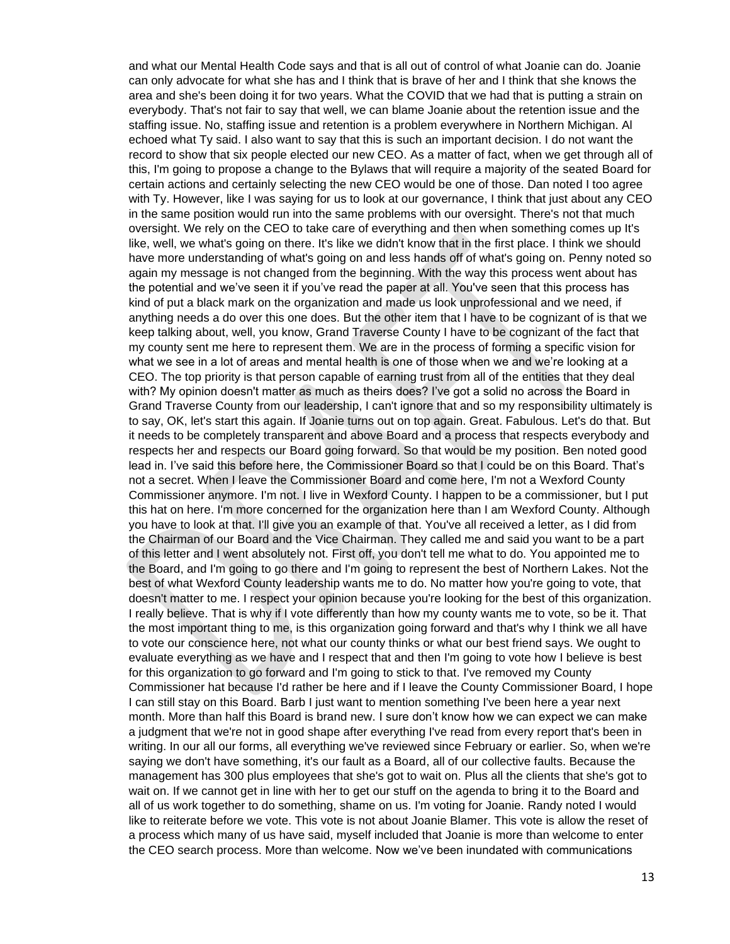and what our Mental Health Code says and that is all out of control of what Joanie can do. Joanie can only advocate for what she has and I think that is brave of her and I think that she knows the area and she's been doing it for two years. What the COVID that we had that is putting a strain on everybody. That's not fair to say that well, we can blame Joanie about the retention issue and the staffing issue. No, staffing issue and retention is a problem everywhere in Northern Michigan. Al echoed what Ty said. I also want to say that this is such an important decision. I do not want the record to show that six people elected our new CEO. As a matter of fact, when we get through all of this, I'm going to propose a change to the Bylaws that will require a majority of the seated Board for certain actions and certainly selecting the new CEO would be one of those. Dan noted I too agree with Ty. However, like I was saying for us to look at our governance, I think that just about any CEO in the same position would run into the same problems with our oversight. There's not that much oversight. We rely on the CEO to take care of everything and then when something comes up It's like, well, we what's going on there. It's like we didn't know that in the first place. I think we should have more understanding of what's going on and less hands off of what's going on. Penny noted so again my message is not changed from the beginning. With the way this process went about has the potential and we've seen it if you've read the paper at all. You've seen that this process has kind of put a black mark on the organization and made us look unprofessional and we need, if anything needs a do over this one does. But the other item that I have to be cognizant of is that we keep talking about, well, you know, Grand Traverse County I have to be cognizant of the fact that my county sent me here to represent them. We are in the process of forming a specific vision for what we see in a lot of areas and mental health is one of those when we and we're looking at a CEO. The top priority is that person capable of earning trust from all of the entities that they deal with? My opinion doesn't matter as much as theirs does? I've got a solid no across the Board in Grand Traverse County from our leadership, I can't ignore that and so my responsibility ultimately is to say, OK, let's start this again. If Joanie turns out on top again. Great. Fabulous. Let's do that. But it needs to be completely transparent and above Board and a process that respects everybody and respects her and respects our Board going forward. So that would be my position. Ben noted good lead in. I've said this before here, the Commissioner Board so that I could be on this Board. That's not a secret. When I leave the Commissioner Board and come here, I'm not a Wexford County Commissioner anymore. I'm not. I live in Wexford County. I happen to be a commissioner, but I put this hat on here. I'm more concerned for the organization here than I am Wexford County. Although you have to look at that. I'll give you an example of that. You've all received a letter, as I did from the Chairman of our Board and the Vice Chairman. They called me and said you want to be a part of this letter and I went absolutely not. First off, you don't tell me what to do. You appointed me to the Board, and I'm going to go there and I'm going to represent the best of Northern Lakes. Not the best of what Wexford County leadership wants me to do. No matter how you're going to vote, that doesn't matter to me. I respect your opinion because you're looking for the best of this organization. I really believe. That is why if I vote differently than how my county wants me to vote, so be it. That the most important thing to me, is this organization going forward and that's why I think we all have to vote our conscience here, not what our county thinks or what our best friend says. We ought to evaluate everything as we have and I respect that and then I'm going to vote how I believe is best for this organization to go forward and I'm going to stick to that. I've removed my County Commissioner hat because I'd rather be here and if I leave the County Commissioner Board, I hope I can still stay on this Board. Barb I just want to mention something I've been here a year next month. More than half this Board is brand new. I sure don't know how we can expect we can make a judgment that we're not in good shape after everything I've read from every report that's been in writing. In our all our forms, all everything we've reviewed since February or earlier. So, when we're saying we don't have something, it's our fault as a Board, all of our collective faults. Because the management has 300 plus employees that she's got to wait on. Plus all the clients that she's got to wait on. If we cannot get in line with her to get our stuff on the agenda to bring it to the Board and all of us work together to do something, shame on us. I'm voting for Joanie. Randy noted I would like to reiterate before we vote. This vote is not about Joanie Blamer. This vote is allow the reset of a process which many of us have said, myself included that Joanie is more than welcome to enter the CEO search process. More than welcome. Now we've been inundated with communications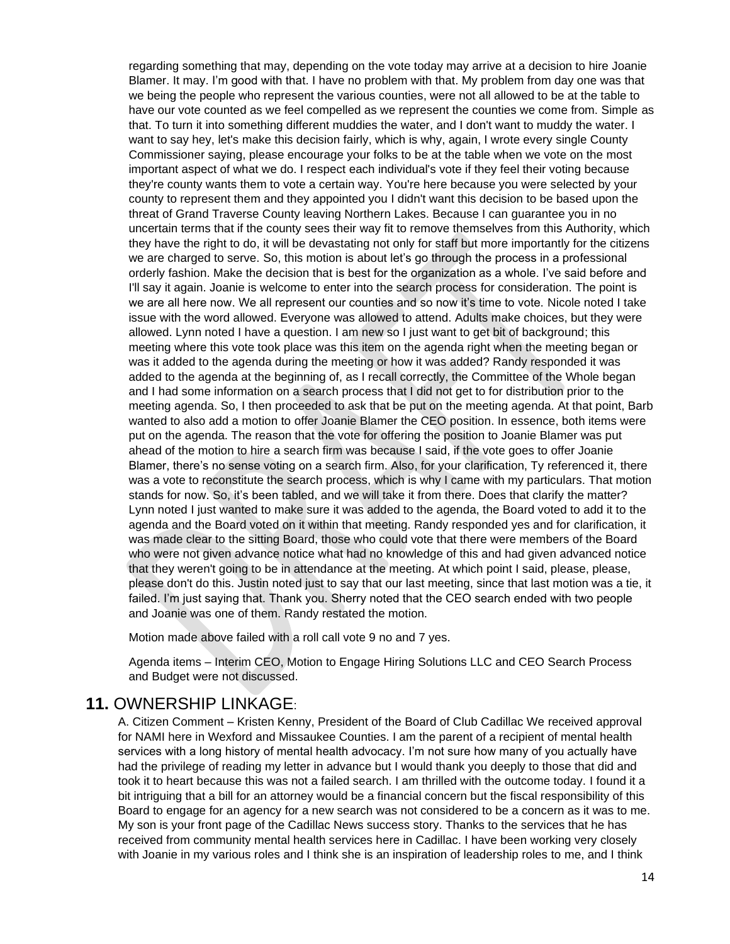regarding something that may, depending on the vote today may arrive at a decision to hire Joanie Blamer. It may. I'm good with that. I have no problem with that. My problem from day one was that we being the people who represent the various counties, were not all allowed to be at the table to have our vote counted as we feel compelled as we represent the counties we come from. Simple as that. To turn it into something different muddies the water, and I don't want to muddy the water. I want to say hey, let's make this decision fairly, which is why, again, I wrote every single County Commissioner saying, please encourage your folks to be at the table when we vote on the most important aspect of what we do. I respect each individual's vote if they feel their voting because they're county wants them to vote a certain way. You're here because you were selected by your county to represent them and they appointed you I didn't want this decision to be based upon the threat of Grand Traverse County leaving Northern Lakes. Because I can guarantee you in no uncertain terms that if the county sees their way fit to remove themselves from this Authority, which they have the right to do, it will be devastating not only for staff but more importantly for the citizens we are charged to serve. So, this motion is about let's go through the process in a professional orderly fashion. Make the decision that is best for the organization as a whole. I've said before and I'll say it again. Joanie is welcome to enter into the search process for consideration. The point is we are all here now. We all represent our counties and so now it's time to vote. Nicole noted I take issue with the word allowed. Everyone was allowed to attend. Adults make choices, but they were allowed. Lynn noted I have a question. I am new so I just want to get bit of background; this meeting where this vote took place was this item on the agenda right when the meeting began or was it added to the agenda during the meeting or how it was added? Randy responded it was added to the agenda at the beginning of, as I recall correctly, the Committee of the Whole began and I had some information on a search process that I did not get to for distribution prior to the meeting agenda. So, I then proceeded to ask that be put on the meeting agenda. At that point, Barb wanted to also add a motion to offer Joanie Blamer the CEO position. In essence, both items were put on the agenda. The reason that the vote for offering the position to Joanie Blamer was put ahead of the motion to hire a search firm was because I said, if the vote goes to offer Joanie Blamer, there's no sense voting on a search firm. Also, for your clarification, Ty referenced it, there was a vote to reconstitute the search process, which is why I came with my particulars. That motion stands for now. So, it's been tabled, and we will take it from there. Does that clarify the matter? Lynn noted I just wanted to make sure it was added to the agenda, the Board voted to add it to the agenda and the Board voted on it within that meeting. Randy responded yes and for clarification, it was made clear to the sitting Board, those who could vote that there were members of the Board who were not given advance notice what had no knowledge of this and had given advanced notice that they weren't going to be in attendance at the meeting. At which point I said, please, please, please don't do this. Justin noted just to say that our last meeting, since that last motion was a tie, it failed. I'm just saying that. Thank you. Sherry noted that the CEO search ended with two people and Joanie was one of them. Randy restated the motion.

Motion made above failed with a roll call vote 9 no and 7 yes.

Agenda items – Interim CEO, Motion to Engage Hiring Solutions LLC and CEO Search Process and Budget were not discussed.

#### **11.** OWNERSHIP LINKAGE:

A. Citizen Comment – Kristen Kenny, President of the Board of Club Cadillac We received approval for NAMI here in Wexford and Missaukee Counties. I am the parent of a recipient of mental health services with a long history of mental health advocacy. I'm not sure how many of you actually have had the privilege of reading my letter in advance but I would thank you deeply to those that did and took it to heart because this was not a failed search. I am thrilled with the outcome today. I found it a bit intriguing that a bill for an attorney would be a financial concern but the fiscal responsibility of this Board to engage for an agency for a new search was not considered to be a concern as it was to me. My son is your front page of the Cadillac News success story. Thanks to the services that he has received from community mental health services here in Cadillac. I have been working very closely with Joanie in my various roles and I think she is an inspiration of leadership roles to me, and I think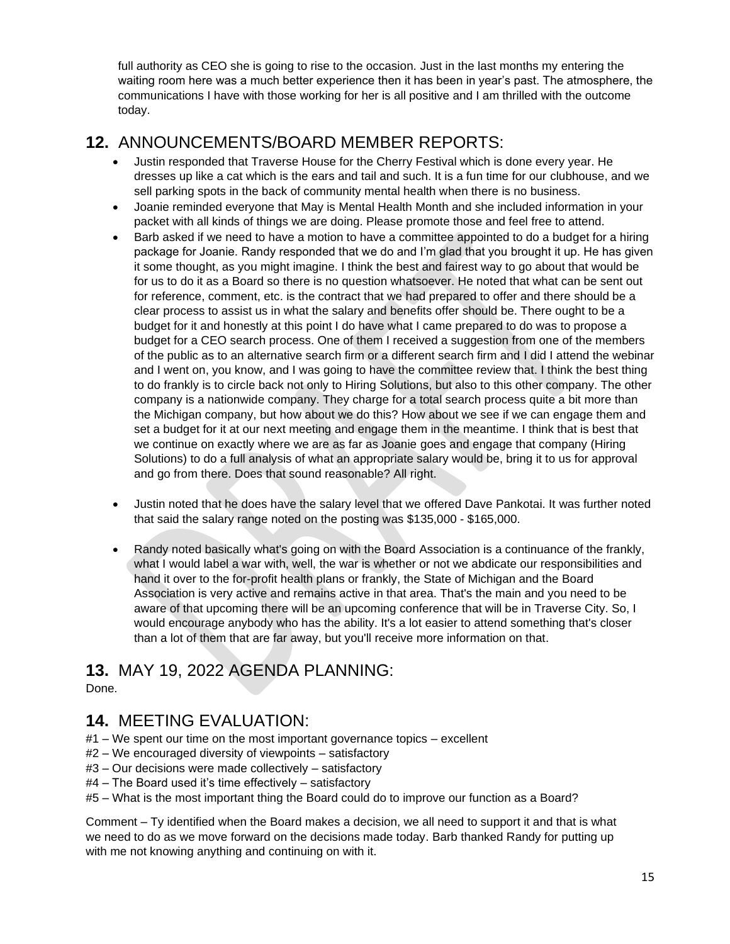full authority as CEO she is going to rise to the occasion. Just in the last months my entering the waiting room here was a much better experience then it has been in year's past. The atmosphere, the communications I have with those working for her is all positive and I am thrilled with the outcome today.

# **12.** ANNOUNCEMENTS/BOARD MEMBER REPORTS:

- Justin responded that Traverse House for the Cherry Festival which is done every year. He dresses up like a cat which is the ears and tail and such. It is a fun time for our clubhouse, and we sell parking spots in the back of community mental health when there is no business.
- Joanie reminded everyone that May is Mental Health Month and she included information in your packet with all kinds of things we are doing. Please promote those and feel free to attend.
- Barb asked if we need to have a motion to have a committee appointed to do a budget for a hiring package for Joanie. Randy responded that we do and I'm glad that you brought it up. He has given it some thought, as you might imagine. I think the best and fairest way to go about that would be for us to do it as a Board so there is no question whatsoever. He noted that what can be sent out for reference, comment, etc. is the contract that we had prepared to offer and there should be a clear process to assist us in what the salary and benefits offer should be. There ought to be a budget for it and honestly at this point I do have what I came prepared to do was to propose a budget for a CEO search process. One of them I received a suggestion from one of the members of the public as to an alternative search firm or a different search firm and I did I attend the webinar and I went on, you know, and I was going to have the committee review that. I think the best thing to do frankly is to circle back not only to Hiring Solutions, but also to this other company. The other company is a nationwide company. They charge for a total search process quite a bit more than the Michigan company, but how about we do this? How about we see if we can engage them and set a budget for it at our next meeting and engage them in the meantime. I think that is best that we continue on exactly where we are as far as Joanie goes and engage that company (Hiring Solutions) to do a full analysis of what an appropriate salary would be, bring it to us for approval and go from there. Does that sound reasonable? All right.
- Justin noted that he does have the salary level that we offered Dave Pankotai. It was further noted that said the salary range noted on the posting was \$135,000 - \$165,000.
- Randy noted basically what's going on with the Board Association is a continuance of the frankly, what I would label a war with, well, the war is whether or not we abdicate our responsibilities and hand it over to the for-profit health plans or frankly, the State of Michigan and the Board Association is very active and remains active in that area. That's the main and you need to be aware of that upcoming there will be an upcoming conference that will be in Traverse City. So, I would encourage anybody who has the ability. It's a lot easier to attend something that's closer than a lot of them that are far away, but you'll receive more information on that.

# **13.** MAY 19, 2022 AGENDA PLANNING:

Done.

### **14.** MEETING EVALUATION:

#1 – We spent our time on the most important governance topics – excellent

- #2 We encouraged diversity of viewpoints satisfactory
- #3 Our decisions were made collectively satisfactory
- #4 The Board used it's time effectively satisfactory
- #5 What is the most important thing the Board could do to improve our function as a Board?

Comment – Ty identified when the Board makes a decision, we all need to support it and that is what we need to do as we move forward on the decisions made today. Barb thanked Randy for putting up with me not knowing anything and continuing on with it.